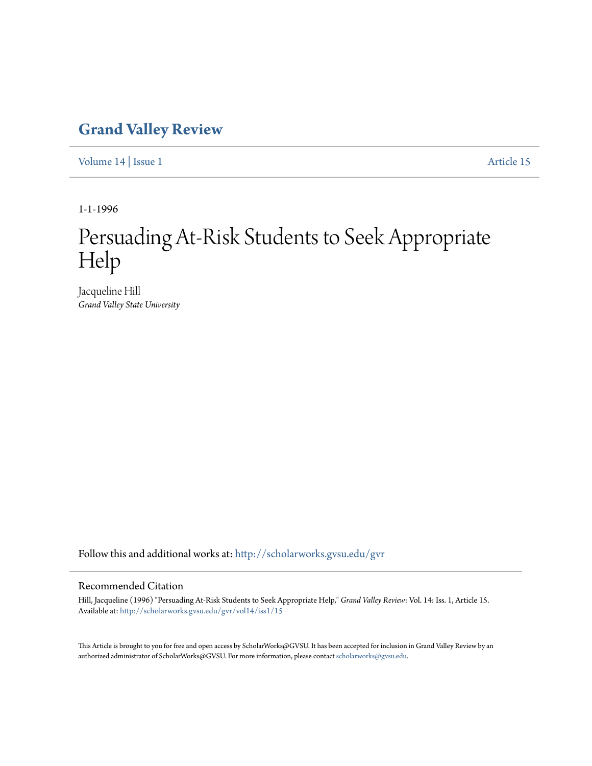# **[Grand Valley Review](http://scholarworks.gvsu.edu/gvr?utm_source=scholarworks.gvsu.edu%2Fgvr%2Fvol14%2Fiss1%2F15&utm_medium=PDF&utm_campaign=PDFCoverPages)**

[Volume 14](http://scholarworks.gvsu.edu/gvr/vol14?utm_source=scholarworks.gvsu.edu%2Fgvr%2Fvol14%2Fiss1%2F15&utm_medium=PDF&utm_campaign=PDFCoverPages) | [Issue 1](http://scholarworks.gvsu.edu/gvr/vol14/iss1?utm_source=scholarworks.gvsu.edu%2Fgvr%2Fvol14%2Fiss1%2F15&utm_medium=PDF&utm_campaign=PDFCoverPages) [Article 15](http://scholarworks.gvsu.edu/gvr/vol14/iss1/15?utm_source=scholarworks.gvsu.edu%2Fgvr%2Fvol14%2Fiss1%2F15&utm_medium=PDF&utm_campaign=PDFCoverPages)

1-1-1996

# Persuading At-Risk Students to Seek Appropriate Help

Jacqueline Hill *Grand Valley State University*

Follow this and additional works at: [http://scholarworks.gvsu.edu/gvr](http://scholarworks.gvsu.edu/gvr?utm_source=scholarworks.gvsu.edu%2Fgvr%2Fvol14%2Fiss1%2F15&utm_medium=PDF&utm_campaign=PDFCoverPages)

# Recommended Citation

Hill, Jacqueline (1996) "Persuading At-Risk Students to Seek Appropriate Help," *Grand Valley Review*: Vol. 14: Iss. 1, Article 15. Available at: [http://scholarworks.gvsu.edu/gvr/vol14/iss1/15](http://scholarworks.gvsu.edu/gvr/vol14/iss1/15?utm_source=scholarworks.gvsu.edu%2Fgvr%2Fvol14%2Fiss1%2F15&utm_medium=PDF&utm_campaign=PDFCoverPages)

This Article is brought to you for free and open access by ScholarWorks@GVSU. It has been accepted for inclusion in Grand Valley Review by an authorized administrator of ScholarWorks@GVSU. For more information, please contact [scholarworks@gvsu.edu.](mailto:scholarworks@gvsu.edu)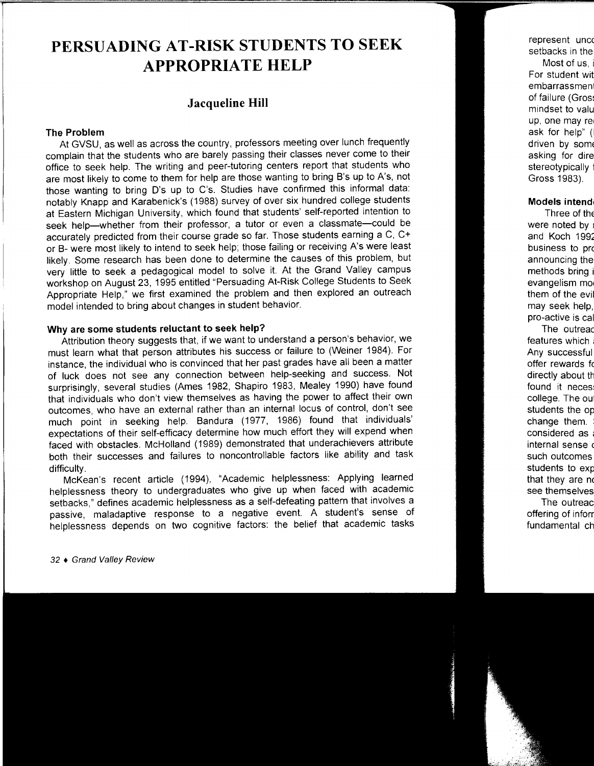# **PERSUADING AT-RISK STUDENTS TO SEEK APPROPRIATE HELP**

# **Jacqueline Hill**

## **The Problem**

At GVSU, as well as across the country, professors meeting over lunch frequently complain that the students who are barely passing their classes never come to their office to seek help. The writing and peer-tutoring centers report that students who are most likely to come to them for help are those wanting to bring B's up to A's, not those wanting to bring D's up to C's. Studies have confirmed this informal data: notably Knapp and Karabenick's ( 1988) survey of over six hundred college students at Eastern Michigan University, which found that students' self-reported intention to seek help-whether from their professor, a tutor or even a classmate-could be accurately predicted from their course grade so far. Those students earning a C, C+ or B- were most likely to intend to seek help; those failing or receiving A's were least likely. Some research has been done to determine the causes of this problem, but very little to seek a pedagogical model to solve it. At the Grand Valley campus workshop on August 23, 1995 entitled "Persuading At-Risk College Students to Seek Appropriate Help," we first examined the problem and then explored an outreach model intended to bring about changes in student behavior.

# **Why are some students reluctant to seek help?**

Attribution theory suggests that, if we want to understand a person's behavior, we must learn what that person attributes his success or failure to (Weiner 1984 ). For instance, the individual who is convinced that her past grades have all been a matter of luck does not see any connection between help-seeking and success. Not surprisingly, several studies (Ames 1982, Shapiro 1983, Mealey 1990) have found that individuals who don't view themselves as having the power to affect their own outcomes, who have an external rather than an internal locus of control, don't see much point in seeking help. Bandura (1977, 1986) found that individuals' expectations of their self-efficacy determine how much effort they will expend when faced with obstacles. McHolland ( 1989) demonstrated that underachievers attribute both their successes and failures to noncontrollable factors like ability and task difficulty.

McKean's recent article (1994), "Academic helplessness: Applying learned helplessness theory to undergraduates who give up when faced with academic setbacks," defines academic helplessness as a self-defeating pattern that involves a passive, maladaptive response to a negative event. A student's sense of helplessness depends on two cognitive factors: the belief that academic tasks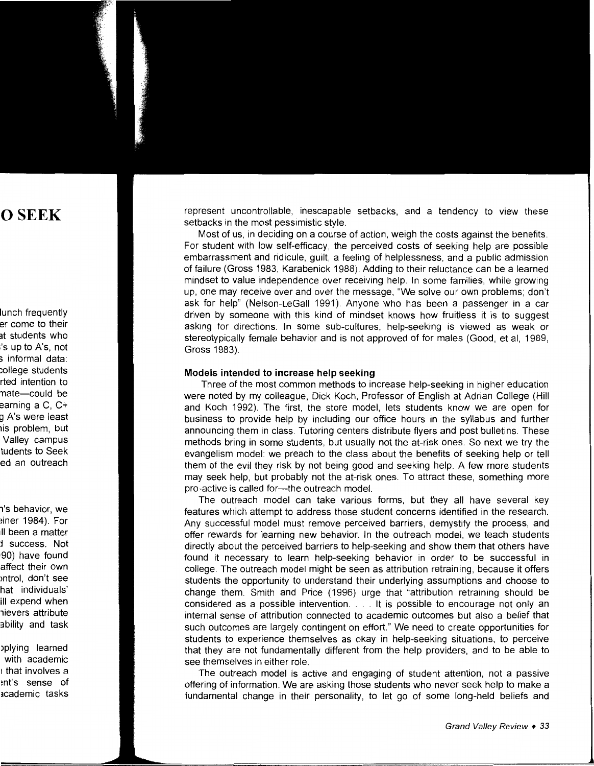represent uncontrollable, inescapable setbacks, and a tendency to view these setbacks in the most pessimistic style.

Most of us, in deciding on a course of action, weigh the costs against the benefits. For student with low self-efficacy, the perceived costs of seeking help are possible embarrassment and ridicule, guilt, a feeling of helplessness, and a public admission of failure (Gross 1983, Karabenick 1988). Adding to their reluctance can be a learned mindset to value independence over receiving help. In some families, while growing up, one may receive over and over the message, "We solve our own problems; don't ask for help" (Nelson-LeGal I 1991 ). Anyone who has been a passenger in a car driven by someone with this kind of mindset knows how fruitless it is to suggest asking for directions. In some sub-cultures, help-seeking is viewed as weak or stereotypically female behavior and is not approved of for males (Good, et al, 1989, Gross 1983).

#### **Models intended to increase help seeking**

Three of the most common methods to increase help-seeking in higher education were noted by my colleague, Dick Koch, Professor of English at Adrian College (Hill and Koch 1992). The first, the store model, lets students know we are open for business to provide help by including our office hours in the syllabus and further announcing them in class. Tutoring centers distribute flyers and post bulletins. These methods bring in some students, but usually not the at-risk ones. So next we try the evangelism model: we preach to the class about the benefits of seeking help or tell them of the evil they risk by not being good and seeking help. A few more students may seek help, but probably not the at-risk ones. To attract these, something more pro-active is called for---the outreach model.

The outreach model can take various forms, but they all have several key features which attempt to address those student concerns identified in the research. Any successful model must remove perceived barriers, demystify the process, and offer rewards for learning new behavior. In the outreach model, we teach students directly about the perceived barriers to help-seeking and show them that others have found it necessary to learn help-seeking behavior in order to be successful in college. The outreach model might be seen as attribution retraining, because it offers students the opportunity to understand their underlying assumptions and choose to change them. Smith and Price (1996) urge that "attribution retraining should be considered as a possible intervention .... It is possible to encourage not only an internal sense of attribution connected to academic outcomes but also a belief that such outcomes are largely contingent on effort." We need to create opportunities for students to experience themselves as okay in help-seeking situations, to perceive that they are not fundamentally different from the help providers, and to be able to see themselves in either role.

The outreach model is active and engaging of student attention, not a passive offering of information. We are asking those students who never seek help to make a fundamental change in their personality, to let go of some long-held beliefs and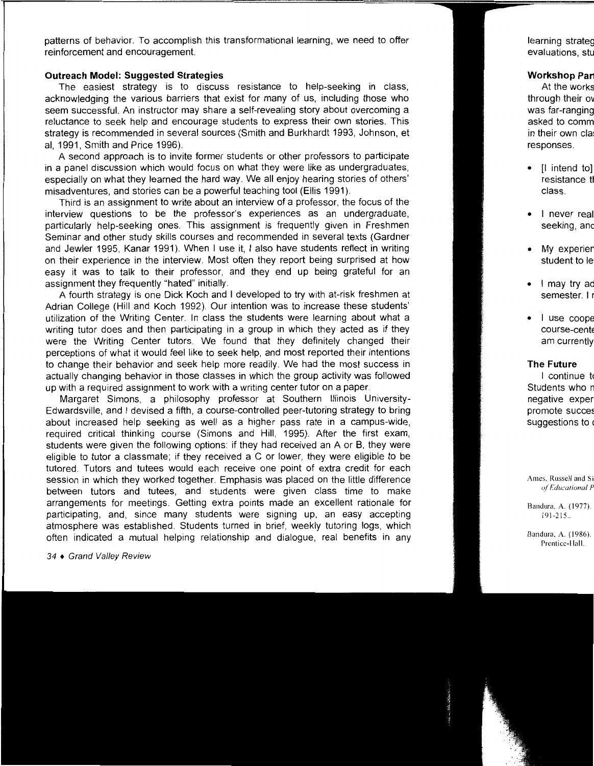patterns of behavior. To accomplish this transformational learning, we need to offer reinforcement and encouragement.

### **Outreach Model: Suggested Strategies**

The easiest strategy is to discuss resistance to help-seeking in class, acknowledging the various barriers that exist for many of us, including those who seem successful. An instructor may share a self-revealing story about overcoming a reluctance to seek help and encourage students to express their own stories. This strategy is recommended in several sources (Smith and Burkhardt 1993, Johnson, et al, 1991, Smith and Price 1996).

A second approach is to invite former students or other professors to participate in a panel discussion which would focus on what they were like as undergraduates, especially on what they learned the hard way. We all enjoy hearing stories of others' misadventures, and stories can be a powerful teaching tool (Ellis 1991 ).

Third is an assignment to write about an interview of a professor, the focus of the interview questions to be the professor's experiences as an undergraduate, particularly help-seeking ones. This assignment is frequently given in Freshmen Seminar and other study skills courses and recommended in several texts (Gardner and Jewler 1995, Kanar 1991). When I use it, I also have students reflect in writing on their experience in the interview. Most often they report being surprised at how easy it was to talk to their professor, and they end up being grateful for an assignment they frequently "hated" initially.

A fourth strategy is one Dick Koch and I developed to try with at-risk freshmen at Adrian College (Hill and Koch 1992). Our intention was to increase these students' utilization of the Writing Center. In class the students were learning about what a writing tutor does and then participating in a group in which they acted as if they were the Writing Center tutors. We found that they definitely changed their perceptions of what it would feel like to seek help, and most reported their intentions to change their behavior and seek help more readily. We had the most success in actually changing behavior in those classes in which the group activity was followed up with a required assignment to work with a writing center tutor on a paper.

Margaret Simons, a philosophy professor at Southern Illinois University-Edwardsville, and I devised a fifth, a course-controlled peer-tutoring strategy to bring about increased help seeking as well as a higher pass rate in a campus-wide, required critical thinking course (Simons and Hill, 1995). After the first exam, students were given the following options: if they had received an A or B, they were eligible to tutor a classmate; if they received a C or lower, they were eligible to be tutored. Tutors and tutees would each receive one point of extra credit for each session in which they worked together. Emphasis was placed on the little difference between tutors and tutees, and students were given class time to make arrangements for meetings. Getting extra points made an excellent rationale for participating, and, since many students were signing up, an easy accepting atmosphere was established. Students turned in brief, weekly tutoring logs, which often indicated a mutual helping relationship and dialogue, real benefits in any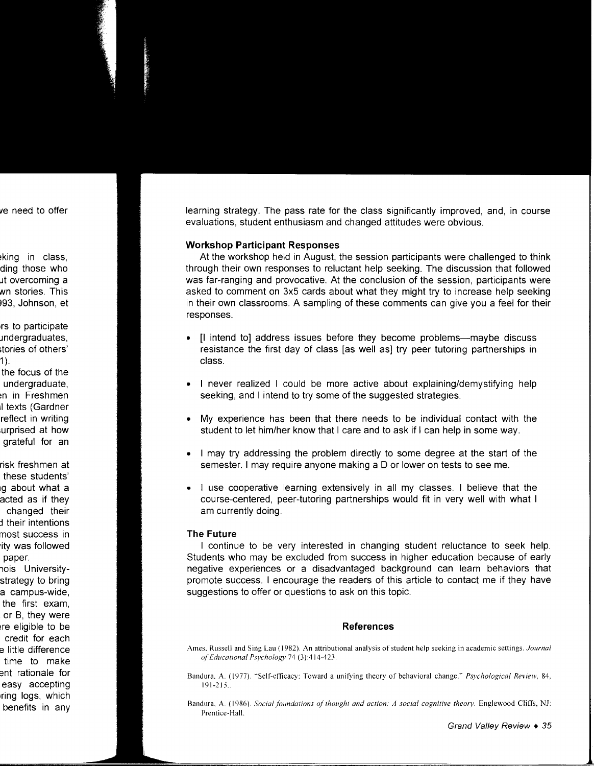learning strategy. The pass rate for the class significantly improved, and, in course evaluations, student enthusiasm and changed attitudes were obvious.

### **Workshop Participant Responses**

At the workshop held in August, the session participants were challenged to think through their own responses to reluctant help seeking. The discussion that followed was far-ranging and provocative. At the conclusion of the session, participants were asked to comment on 3x5 cards about what they might try to increase help seeking in their own classrooms. A sampling of these comments can give you a feel for their responses.

- [I intend to] address issues before they become problems—maybe discuss resistance the first day of class [as well as] try peer tutoring partnerships in class.
- I never realized I could be more active about explaining/demystifying help seeking, and I intend to try some of the suggested strategies.
- My experience has been that there needs to be individual contact with the student to let him/her know that I care and to ask if I can help in some way.
- I may try addressing the problem directly to some degree at the start of the semester. I may require anyone making a D or lower on tests to see me.
- I use cooperative learning extensively in all my classes. I believe that the course-centered, peer-tutoring partnerships would fit in very well with what I am currently doing.

#### **The Future**

I continue to be very interested in changing student reluctance to seek help. Students who may be excluded from success in higher education because of early negative experiences or a disadvantaged background can learn behaviors that promote success. I encourage the readers of this article to contact me if they have suggestions to offer or questions to ask on this topic.

### **References**

- Ames, Russell and Sing Lau ( 1982). An attributional analysis of student help seeking in academic settings. *Journal of'Educational Psychology* 74 (3):414-423.
- Bandura, A. (1977). "Self-efficacy: Toward a unifying theory of behavioral change." *Psychological Review*, 84, 191-215 ..
- Bandura, A. (1986). *Social foundations of thought and action: A social cognitive theory.* Englewood Cliffs, NJ: Prentice-Hall.